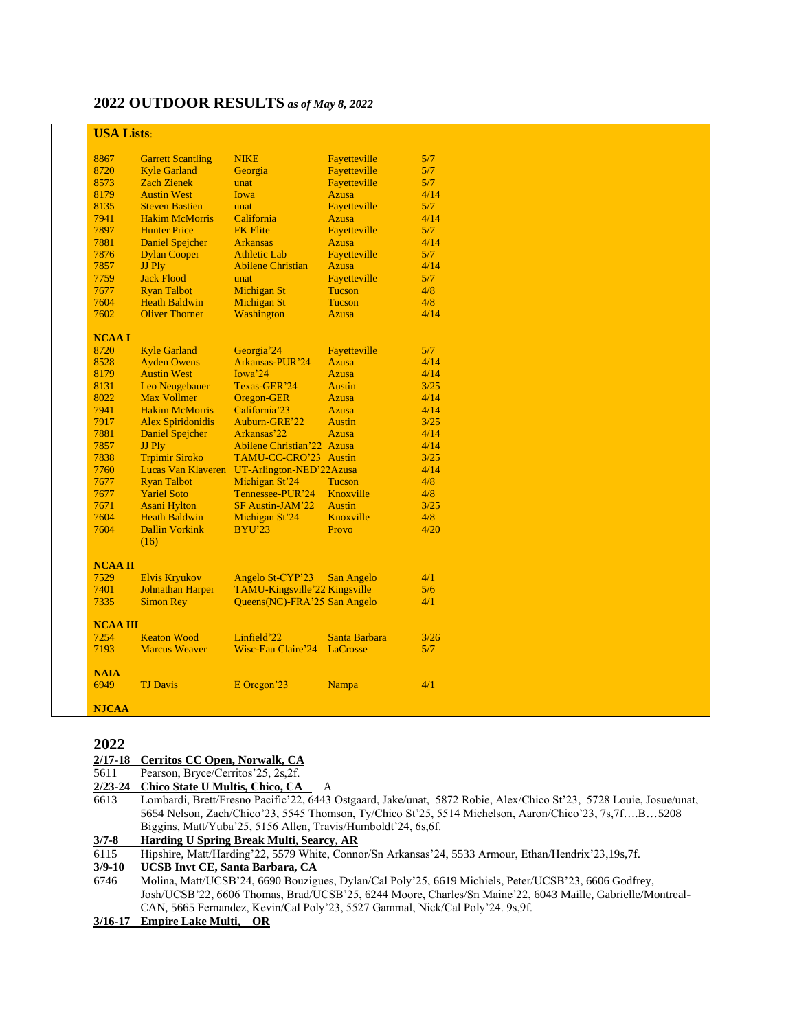## **2022 OUTDOOR RESULTS** *as of May 8, 2022*

#### **USA Lists**:

| 8867            | <b>Garrett Scantling</b>  | <b>NIKE</b>                       | Fayetteville    | 5/7  |
|-----------------|---------------------------|-----------------------------------|-----------------|------|
| 8720            | <b>Kyle Garland</b>       | Georgia                           | Fayetteville    | 5/7  |
| 8573            | <b>Zach Zienek</b>        | unat                              | Favetteville    | 5/7  |
| 8179            | <b>Austin West</b>        | <b>Iowa</b>                       | <b>Azusa</b>    | 4/14 |
| 8135            | <b>Steven Bastien</b>     | unat                              | Fayetteville    | 5/7  |
| 7941            | <b>Hakim McMorris</b>     | California                        | <b>Azusa</b>    | 4/14 |
| 7897            | <b>Hunter Price</b>       | <b>FK Elite</b>                   | Fayetteville    | 5/7  |
| 7881            | <b>Daniel Spejcher</b>    | <b>Arkansas</b>                   | <b>Azusa</b>    | 4/14 |
| 7876            | <b>Dylan Cooper</b>       | Athletic Lab                      | Fayetteville    | 5/7  |
| 7857            | JJ Ply                    | <b>Abilene Christian</b>          | <b>Azusa</b>    | 4/14 |
| 7759            | <b>Jack Flood</b>         | unat                              | Fayetteville    | 5/7  |
| 7677            | <b>Ryan Talbot</b>        | <b>Michigan St</b>                | Tucson          | 4/8  |
| 7604            | <b>Heath Baldwin</b>      | <b>Michigan St</b>                | <b>Tucson</b>   | 4/8  |
| 7602            | <b>Oliver Thorner</b>     | Washington                        | <b>Azusa</b>    | 4/14 |
|                 |                           |                                   |                 |      |
| <b>NCAAI</b>    |                           |                                   |                 |      |
| 8720            | <b>Kyle Garland</b>       | Georgia'24                        | Fayetteville    | 5/7  |
| 8528            | <b>Ayden Owens</b>        | Arkansas-PUR'24                   | <b>Azusa</b>    | 4/14 |
| 8179            | <b>Austin West</b>        | Iowa'24                           | <b>Azusa</b>    | 4/14 |
| 8131            | Leo Neugebauer            | Texas-GER'24                      | <b>Austin</b>   | 3/25 |
| 8022            | <b>Max Vollmer</b>        | <b>Oregon-GER</b>                 | <b>Azusa</b>    | 4/14 |
| 7941            | <b>Hakim McMorris</b>     | California'23                     | <b>Azusa</b>    | 4/14 |
| 7917            | <b>Alex Spiridonidis</b>  | Auburn-GRE'22                     | <b>Austin</b>   | 3/25 |
| 7881            | <b>Daniel Spejcher</b>    | Arkansas'22                       | <b>Azusa</b>    | 4/14 |
| 7857            | JJ Ply                    | <b>Abilene Christian'22 Azusa</b> |                 | 4/14 |
| 7838            | <b>Trpimir Siroko</b>     | TAMU-CC-CRO'23 Austin             |                 | 3/25 |
| 7760            | <b>Lucas Van Klaveren</b> | UT-Arlington-NED'22Azusa          |                 | 4/14 |
| 7677            | <b>Rvan Talbot</b>        | Michigan St'24                    | Tucson          | 4/8  |
| 7677            | <b>Yariel Soto</b>        | Tennessee-PUR'24                  | Knoxville       | 4/8  |
| 7671            | <b>Asani Hylton</b>       | SF Austin-JAM'22                  | <b>Austin</b>   | 3/25 |
| 7604            | <b>Heath Baldwin</b>      | Michigan St'24                    | Knoxville       | 4/8  |
| 7604            | <b>Dallin Vorkink</b>     | <b>BYU'23</b>                     | Provo           | 4/20 |
|                 | (16)                      |                                   |                 |      |
|                 |                           |                                   |                 |      |
| <b>NCAA II</b>  |                           |                                   |                 |      |
| 7529            | <b>Elvis Kryukov</b>      | Angelo St-CYP'23                  | San Angelo      | 4/1  |
| 7401            | <b>Johnathan Harper</b>   | TAMU-Kingsville'22 Kingsville     |                 | 5/6  |
| 7335            | <b>Simon Rev</b>          | Queens(NC)-FRA'25 San Angelo      |                 | 4/1  |
| <b>NCAA III</b> |                           |                                   |                 |      |
| 7254            | <b>Keaton Wood</b>        | Linfield'22                       | Santa Barbara   | 3/26 |
| 7193            | <b>Marcus Weaver</b>      | Wisc-Eau Claire'24                | <b>LaCrosse</b> | 5/7  |
|                 |                           |                                   |                 |      |
| <b>NAIA</b>     |                           |                                   |                 |      |
| 6949            | <b>TJ</b> Davis           | E Oregon'23                       | Nampa           | 4/1  |
|                 |                           |                                   |                 |      |
| <b>NJCAA</b>    |                           |                                   |                 |      |
|                 |                           |                                   |                 |      |

## 

2/17-18 **Cerritos CC Open, Norwalk, CA**<br>5611 Pearson, Bryce/Cerritos'25, 2s, 2f.

Pearson, Bryce/Cerritos'25, 2s,2f.

**2/23-24 Chico State U Multis, Chico, CA** A

6613 Lombardi, Brett/Fresno Pacific'22, 6443 Ostgaard, Jake/unat, 5872 Robie, Alex/Chico St'23, 5728 Louie, Josue/unat, 5654 Nelson, Zach/Chico'23, 5545 Thomson, Ty/Chico St'25, 5514 Michelson, Aaron/Chico'23, 7s,7f….B…5208 Biggins, Matt/Yuba'25, 5156 Allen, Travis/Humboldt'24, 6s,6f.

**3/7-8 Harding U Spring Break Multi, Searcy, AR**

6115 Hipshire, Matt/Harding'22, 5579 White, Connor/Sn Arkansas'24, 5533 Armour, Ethan/Hendrix'23,19s,7f.<br>3/9-10 UCSB Invt CE, Santa Barbara, CA

**3/9-10 UCSB Invt CE, Santa Barbara, CA**

 Molina, Matt/UCSB'24, 6690 Bouzigues, Dylan/Cal Poly'25, 6619 Michiels, Peter/UCSB'23, 6606 Godfrey, Josh/UCSB'22, 6606 Thomas, Brad/UCSB'25, 6244 Moore, Charles/Sn Maine'22, 6043 Maille, Gabrielle/Montreal-CAN, 5665 Fernandez, Kevin/Cal Poly'23, 5527 Gammal, Nick/Cal Poly'24. 9s,9f.

**3/16-17 Empire Lake Multi, OR**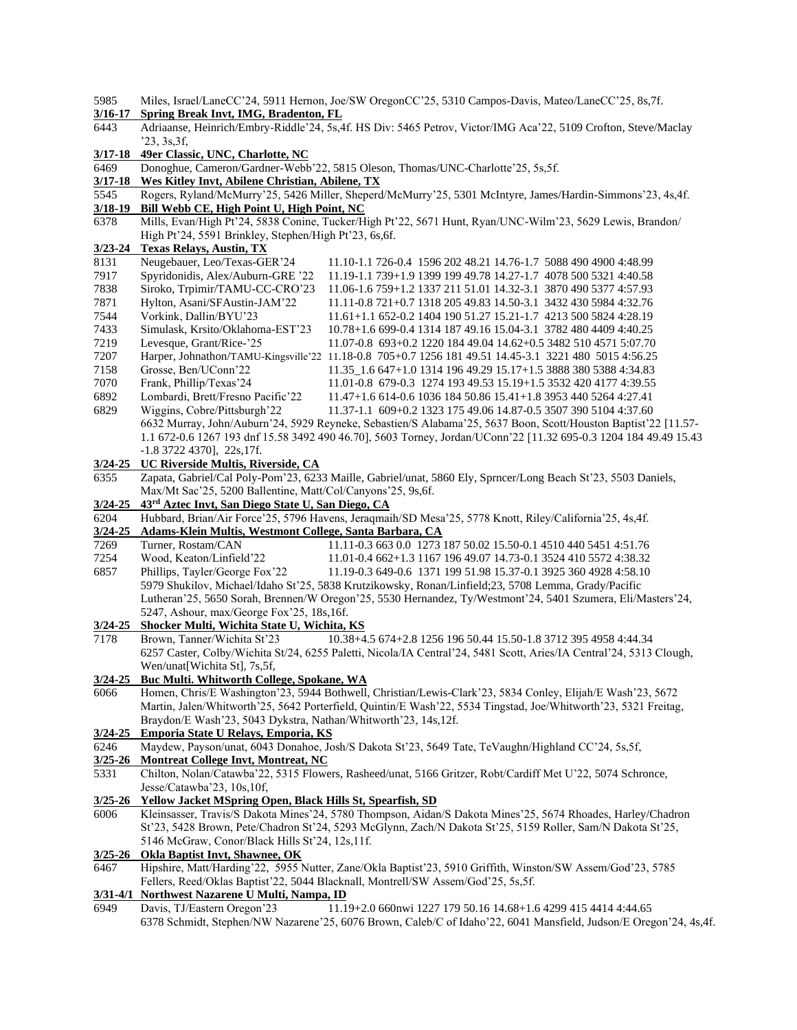- 5985 Miles, Israel/LaneCC'24, 5911 Hernon, Joe/SW OregonCC'25, 5310 Campos-Davis, Mateo/LaneCC'25, 8s,7f.
- **3/16-17 Spring Break Invt, IMG, Bradenton, FL**
- 6443 Adriaanse, Heinrich/Embry-Riddle'24, 5s,4f. HS Div: 5465 Petrov, Victor/IMG Aca'22, 5109 Crofton, Steve/Maclay '23, 3s,3f,
- **3/17-18 49er Classic, UNC, Charlotte, NC**
- 6469 Donoghue, Cameron/Gardner-Webb'22, 5815 Oleson, Thomas/UNC-Charlotte'25, 5s,5f.<br>3/17-18 Wes Kitley Invt, Abilene Christian, Abilene, TX
- **3/17-18 Wes Kitley Invt, Abilene Christian, Abilene, TX**
- 5545 Rogers, Ryland/McMurry'25, 5426 Miller, Sheperd/McMurry'25, 5301 McIntyre, James/Hardin-Simmons'23, 4s,4f. **3/18-19 Bill Webb CE, High Point U, High Point, NC**
- 6378 Mills, Evan/High Pt'24, 5838 Conine, Tucker/High Pt'22, 5671 Hunt, Ryan/UNC-Wilm'23, 5629 Lewis, Brandon/ High Pt'24, 5591 Brinkley, Stephen/High Pt'23, 6s,6f.
- **3/23-24 Texas Relays, Austin, TX**

| 31 L 3 - 24 | Texas Reiavs, Ausum, T $\Lambda$                              |                                                                                                                  |
|-------------|---------------------------------------------------------------|------------------------------------------------------------------------------------------------------------------|
| 8131        | Neugebauer, Leo/Texas-GER'24                                  | 11.10-1.1 726-0.4 1596 202 48.21 14.76-1.7 5088 490 4900 4:48.99                                                 |
| 7917        | Spyridonidis, Alex/Auburn-GRE '22                             | 11.19-1.1 739+1.9 1399 199 49.78 14.27-1.7 4078 500 5321 4:40.58                                                 |
| 7838        | Siroko, Trpimir/TAMU-CC-CRO'23                                | 11.06-1.6 759+1.2 1337 211 51.01 14.32-3.1 3870 490 5377 4:57.93                                                 |
| 7871        | Hylton, Asani/SFAustin-JAM'22                                 | 11.11-0.8 721+0.7 1318 205 49.83 14.50-3.1 3432 430 5984 4:32.76                                                 |
| 7544        | Vorkink, Dallin/BYU'23                                        | $11.61+1.1652-0.2140419051.2715.21-1.7421350058244:28.19$                                                        |
| 7433        | Simulask, Krsito/Oklahoma-EST'23                              | 10.78+1.6 699-0.4 1314 187 49.16 15.04-3.1 3782 480 4409 4:40.25                                                 |
| 7219        | Levesque, Grant/Rice-'25                                      | 11.07-0.8 693+0.2 1220 184 49.04 14.62+0.5 3482 510 4571 5:07.70                                                 |
| 7207        |                                                               | Harper, Johnathon/TAMU-Kingsville'22 11.18-0.8 705+0.7 1256 181 49.51 14.45-3.1 3221 480 5015 4:56.25            |
| 7158        | Grosse, Ben/UConn'22                                          | 11.35 1.6 647+1.0 1314 196 49.29 15.17+1.5 3888 380 5388 4:34.83                                                 |
| 7070        | Frank, Phillip/Texas'24                                       | 11.01-0.8 679-0.3 1274 193 49.53 15.19+1.5 3532 420 4177 4:39.55                                                 |
| 6892        | Lombardi, Brett/Fresno Pacific'22                             | $11.47+1.6614-0.6103618450.8615.41+1.8395344052644:27.41$                                                        |
| 6829        | Wiggins, Cobre/Pittsburgh'22                                  | 11.37-1.1 609+0.2 1323 175 49.06 14.87-0.5 3507 390 5104 4:37.60                                                 |
|             |                                                               | 6632 Murray, John/Auburn'24, 5929 Reyneke, Sebastien/S Alabama'25, 5637 Boon, Scott/Houston Baptist'22 [11.57-   |
|             |                                                               | 1.1 672-0.6 1267 193 dnf 15.58 3492 490 46.70], 5603 Torney, Jordan/UConn'22 [11.32 695-0.3 1204 184 49.49 15.43 |
|             | $-1.8$ 3722 4370], 22s, 17f.                                  |                                                                                                                  |
| $3/24 - 25$ | UC Riverside Multis, Riverside, CA                            |                                                                                                                  |
| 6355        |                                                               | Zapata, Gabriel/Cal Poly-Pom'23, 6233 Maille, Gabriel/unat, 5860 Ely, Sprncer/Long Beach St'23, 5503 Daniels,    |
|             | Max/Mt Sac'25, 5200 Ballentine, Matt/Col/Canyons'25, 9s, 6f.  |                                                                                                                  |
| $3/24 - 25$ | 43 <sup>rd</sup> Aztec Invt, San Diego State U, San Diego, CA |                                                                                                                  |
| 6204        |                                                               | Hubbard, Brian/Air Force'25, 5796 Havens, Jeraqmaih/SD Mesa'25, 5778 Knott, Riley/California'25, 4s,4f.          |
| $3/24 - 25$ | Adams-Klein Multis, Westmont College, Santa Barbara, CA       |                                                                                                                  |
| 7269        | Turner Rostam/ $CAN$                                          | 11 11 - 0 3 663 0 0 1273 187 50 02 15 50 - 0 1 4510 440 5451 4 - 51 76                                           |

- 7269 Turner, Rostam/CAN 11.11-0.3 663 0.0 1273 187 50.02 15.50-0.1 4510 440 5451 4:51.76 7254 Wood, Keaton/Linfield'22 11.01-0.4 662+1.3 1167 196 49.07 14.73-0.1 3524 410 5572 4:38.32
- 6857 Phillips, Tayler/George Fox'22 11.19-0.3 649-0.6 1371 199 51.98 15.37-0.1 3925 360 4928 4:58.10 5979 Shukilov, Michael/Idaho St'25, 5838 Krutzikowsky, Ronan/Linfield;23, 5708 Lemma, Grady/Pacific
- Lutheran'25, 5650 Sorah, Brennen/W Oregon'25, 5530 Hernandez, Ty/Westmont'24, 5401 Szumera, Eli/Masters'24, 5247, Ashour, max/George Fox'25, 18s,16f.
- **3/24-25 Shocker Multi, Wichita State U, Wichita, KS**
- 7178 Brown, Tanner/Wichita St'23 10.38+4.5 674+2.8 1256 196 50.44 15.50-1.8 3712 395 4958 4:44.34 6257 Caster, Colby/Wichita St/24, 6255 Paletti, Nicola/IA Central'24, 5481 Scott, Aries/IA Central'24, 5313 Clough, Wen/unat[Wichita St], 7s,5f,

## **3/24-25 Buc Multi. Whitworth College, Spokane, WA**

6066 Homen, Chris/E Washington'23, 5944 Bothwell, Christian/Lewis-Clark'23, 5834 Conley, Elijah/E Wash'23, 5672 Martin, Jalen/Whitworth'25, 5642 Porterfield, Quintin/E Wash'22, 5534 Tingstad, Joe/Whitworth'23, 5321 Freitag, Braydon/E Wash'23, 5043 Dykstra, Nathan/Whitworth'23, 14s,12f.

## **3/24-25 Emporia State U Relays, Emporia, KS**

6246 Maydew, Payson/unat, 6043 Donahoe, Josh/S Dakota St'23, 5649 Tate, TeVaughn/Highland CC'24, 5s,5f, 3/25-26 Montreat College Invt, Montreat, NC

**3/25-26 Montreat College Invt, Montreat, NC**

5331 Chilton, Nolan/Catawba'22, 5315 Flowers, Rasheed/unat, 5166 Gritzer, Robt/Cardiff Met U'22, 5074 Schronce, Jesse/Catawba'23, 10s,10f,

## **3/25-26 Yellow Jacket MSpring Open, Black Hills St, Spearfish, SD**

6006 Kleinsasser, Travis/S Dakota Mines'24, 5780 Thompson, Aidan/S Dakota Mines'25, 5674 Rhoades, Harley/Chadron St'23, 5428 Brown, Pete/Chadron St'24, 5293 McGlynn, Zach/N Dakota St'25, 5159 Roller, Sam/N Dakota St'25, 5146 McGraw, Conor/Black Hills St'24, 12s,11f.

## **3/25-26 Okla Baptist Invt, Shawnee, OK**

6467 Hipshire, Matt/Harding'22, 5955 Nutter, Zane/Okla Baptist'23, 5910 Griffith, Winston/SW Assem/God'23, 5785 Fellers, Reed/Oklas Baptist'22, 5044 Blacknall, Montrell/SW Assem/God'25, 5s,5f.

## **3/31-4/1 Northwest Nazarene U Multi, Nampa, ID**

6949 Davis, TJ/Eastern Oregon'23 11.19+2.0 660nwi 1227 179 50.16 14.68+1.6 4299 415 4414 4:44.65 6378 Schmidt, Stephen/NW Nazarene'25, 6076 Brown, Caleb/C of Idaho'22, 6041 Mansfield, Judson/E Oregon'24, 4s,4f.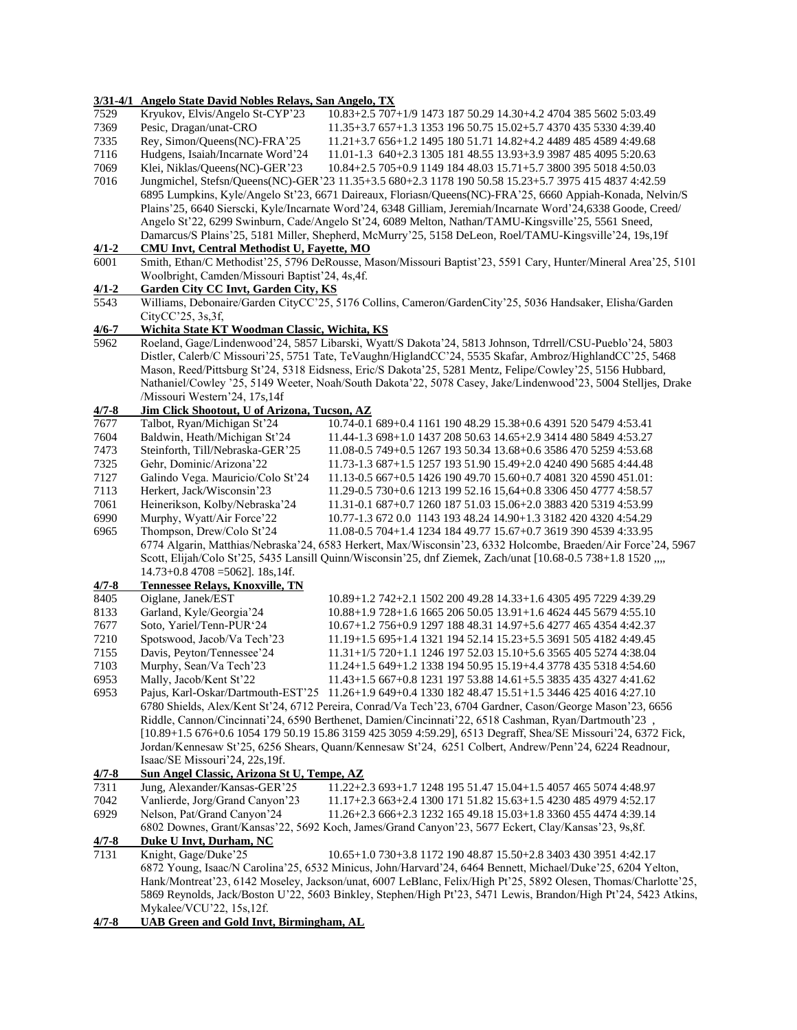|                   | 3/31-4/1 Angelo State David Nobles Relays, San Angelo, TX |                                                                                                                                                                                                                       |
|-------------------|-----------------------------------------------------------|-----------------------------------------------------------------------------------------------------------------------------------------------------------------------------------------------------------------------|
| 7529              | Kryukov, Elvis/Angelo St-CYP'23                           | 10.83+2.5 707+1/9 1473 187 50.29 14.30+4.2 4704 385 5602 5:03.49                                                                                                                                                      |
| 7369              | Pesic, Dragan/unat-CRO                                    | 11.35+3.7 657+1.3 1353 196 50.75 15.02+5.7 4370 435 5330 4:39.40                                                                                                                                                      |
| 7335              | Rey, Simon/Queens(NC)-FRA'25                              | 11.21+3.7 656+1.2 1495 180 51.71 14.82+4.2 4489 485 4589 4:49.68                                                                                                                                                      |
| 7116              | Hudgens, Isaiah/Incarnate Word'24                         | 11.01-1.3 640+2.3 1305 181 48.55 13.93+3.9 3987 485 4095 5:20.63                                                                                                                                                      |
| 7069              | Klei, Niklas/Queens(NC)-GER'23                            | 10.84+2.5 705+0.9 1149 184 48.03 15.71+5.7 3800 395 5018 4:50.03                                                                                                                                                      |
| 7016              |                                                           | Jungmichel, Stefsn/Queens(NC)-GER'23 11.35+3.5 680+2.3 1178 190 50.58 15.23+5.7 3975 415 4837 4:42.59                                                                                                                 |
|                   |                                                           | 6895 Lumpkins, Kyle/Angelo St'23, 6671 Daireaux, Floriasn/Queens(NC)-FRA'25, 6660 Appiah-Konada, Nelvin/S                                                                                                             |
|                   |                                                           | Plains'25, 6640 Sierscki, Kyle/Incarnate Word'24, 6348 Gilliam, Jeremiah/Incarnate Word'24,6338 Goode, Creed/                                                                                                         |
|                   |                                                           | Angelo St'22, 6299 Swinburn, Cade/Angelo St'24, 6089 Melton, Nathan/TAMU-Kingsville'25, 5561 Sneed,                                                                                                                   |
|                   |                                                           | Damarcus/S Plains' 25, 5181 Miller, Shepherd, McMurry' 25, 5158 DeLeon, Roel/TAMU-Kingsville' 24, 19s, 19f                                                                                                            |
| $4/1 - 2$<br>6001 | <b>CMU Invt, Central Methodist U, Fayette, MO</b>         | Smith, Ethan/C Methodist'25, 5796 DeRousse, Mason/Missouri Baptist'23, 5591 Cary, Hunter/Mineral Area'25, 5101                                                                                                        |
|                   | Woolbright, Camden/Missouri Baptist'24, 4s,4f.            |                                                                                                                                                                                                                       |
| $4/1 - 2$         | <b>Garden City CC Invt, Garden City, KS</b>               |                                                                                                                                                                                                                       |
| 5543              |                                                           | Williams, Debonaire/Garden CityCC'25, 5176 Collins, Cameron/GardenCity'25, 5036 Handsaker, Elisha/Garden                                                                                                              |
|                   | CityCC'25, 3s, 3f,                                        |                                                                                                                                                                                                                       |
| $4/6 - 7$         | Wichita State KT Woodman Classic, Wichita, KS             |                                                                                                                                                                                                                       |
| 5962              |                                                           | Roeland, Gage/Lindenwood'24, 5857 Libarski, Wyatt/S Dakota'24, 5813 Johnson, Tdrrell/CSU-Pueblo'24, 5803                                                                                                              |
|                   |                                                           | Distler, Calerb/C Missouri'25, 5751 Tate, TeVaughn/HiglandCC'24, 5535 Skafar, Ambroz/HighlandCC'25, 5468                                                                                                              |
|                   |                                                           | Mason, Reed/Pittsburg St'24, 5318 Eidsness, Eric/S Dakota'25, 5281 Mentz, Felipe/Cowley'25, 5156 Hubbard,                                                                                                             |
|                   |                                                           | Nathaniel/Cowley '25, 5149 Weeter, Noah/South Dakota'22, 5078 Casey, Jake/Lindenwood'23, 5004 Stelljes, Drake                                                                                                         |
|                   | /Missouri Western'24, 17s,14f                             |                                                                                                                                                                                                                       |
| $4/7 - 8$         | Jim Click Shootout, U of Arizona, Tucson, AZ              |                                                                                                                                                                                                                       |
| 7677              | Talbot, Ryan/Michigan St'24                               | 10.74-0.1 689+0.4 1161 190 48.29 15.38+0.6 4391 520 5479 4:53.41                                                                                                                                                      |
| 7604              | Baldwin, Heath/Michigan St'24                             | 11.44-1.3 698+1.0 1437 208 50.63 14.65+2.9 3414 480 5849 4:53.27                                                                                                                                                      |
| 7473              | Steinforth, Till/Nebraska-GER'25                          | 11.08-0.5 749+0.5 1267 193 50.34 13.68+0.6 3586 470 5259 4:53.68                                                                                                                                                      |
| 7325              | Gehr, Dominic/Arizona'22                                  | 11.73-1.3 687+1.5 1257 193 51.90 15.49+2.0 4240 490 5685 4:44.48                                                                                                                                                      |
| 7127              | Galindo Vega. Mauricio/Colo St'24                         | 11.13-0.5 667+0.5 1426 190 49.70 15.60+0.7 4081 320 4590 451.01:                                                                                                                                                      |
| 7113              | Herkert, Jack/Wisconsin'23                                | 11.29-0.5 730+0.6 1213 199 52.16 15,64+0.8 3306 450 4777 4:58.57                                                                                                                                                      |
| 7061<br>6990      | Heinerikson, Kolby/Nebraska'24                            | 11.31-0.1 687+0.7 1260 187 51.03 15.06+2.0 3883 420 5319 4:53.99                                                                                                                                                      |
| 6965              | Murphy, Wyatt/Air Force'22<br>Thompson, Drew/Colo St'24   | 10.77-1.3 672 0.0 1143 193 48.24 14.90+1.3 3182 420 4320 4:54.29<br>11.08-0.5 704+1.4 1234 184 49.77 15.67+0.7 3619 390 4539 4:33.95                                                                                  |
|                   |                                                           | 6774 Algarin, Matthias/Nebraska'24, 6583 Herkert, Max/Wisconsin'23, 6332 Holcombe, Braeden/Air Force'24, 5967                                                                                                         |
|                   |                                                           | Scott, Elijah/Colo St'25, 5435 Lansill Quinn/Wisconsin'25, dnf Ziemek, Zach/unat [10.68-0.5 738+1.8 1520                                                                                                              |
|                   | $14.73+0.84708 = 5062$ ]. 18s,14f.                        |                                                                                                                                                                                                                       |
| $4/7 - 8$         | <b>Tennessee Relays, Knoxville, TN</b>                    |                                                                                                                                                                                                                       |
| 8405              | Oiglane, Janek/EST                                        | 10.89+1.2 742+2.1 1502 200 49.28 14.33+1.6 4305 495 7229 4:39.29                                                                                                                                                      |
| 8133              | Garland, Kyle/Georgia'24                                  | 10.88+1.9 728+1.6 1665 206 50.05 13.91+1.6 4624 445 5679 4:55.10                                                                                                                                                      |
| 7677              | Soto, Yariel/Tenn-PUR'24                                  | 10.67+1.2 756+0.9 1297 188 48.31 14.97+5.6 4277 465 4354 4:42.37                                                                                                                                                      |
| 7210              | Spotswood, Jacob/Va Tech'23                               | 11.19+1.5 695+1.4 1321 194 52.14 15.23+5.5 3691 505 4182 4:49.45                                                                                                                                                      |
| 7155              | Davis, Peyton/Tennessee'24                                | 11.31+1/5 720+1.1 1246 197 52.03 15.10+5.6 3565 405 5274 4:38.04                                                                                                                                                      |
| 7103              | Murphy, Sean/Va Tech'23                                   | 11.24+1.5 649+1.2 1338 194 50.95 15.19+4.4 3778 435 5318 4:54.60                                                                                                                                                      |
| 6953              | Mally, Jacob/Kent St'22                                   | 11.43+1.5 667+0.8 1231 197 53.88 14.61+5.5 3835 435 4327 4:41.62                                                                                                                                                      |
| 6953              |                                                           | Pajus, Karl-Oskar/Dartmouth-EST'25 11.26+1.9 649+0.4 1330 182 48.47 15.51+1.5 3446 425 4016 4:27.10                                                                                                                   |
|                   |                                                           | 6780 Shields, Alex/Kent St'24, 6712 Pereira, Conrad/Va Tech'23, 6704 Gardner, Cason/George Mason'23, 6656                                                                                                             |
|                   |                                                           | Riddle, Cannon/Cincinnati'24, 6590 Berthenet, Damien/Cincinnati'22, 6518 Cashman, Ryan/Dartmouth'23,<br>[10.89+1.5 676+0.6 1054 179 50.19 15.86 3159 425 3059 4:59.29], 6513 Degraff, Shea/SE Missouri'24, 6372 Fick, |
|                   |                                                           | Jordan/Kennesaw St'25, 6256 Shears, Quann/Kennesaw St'24, 6251 Colbert, Andrew/Penn'24, 6224 Readnour,                                                                                                                |
|                   | Isaac/SE Missouri'24, 22s, 19f.                           |                                                                                                                                                                                                                       |
| $4/7 - 8$         | Sun Angel Classic, Arizona St U, Tempe, AZ                |                                                                                                                                                                                                                       |
| 7311              | Jung, Alexander/Kansas-GER'25                             | 11.22+2.3 693+1.7 1248 195 51.47 15.04+1.5 4057 465 5074 4:48.97                                                                                                                                                      |
| 7042              | Vanlierde, Jorg/Grand Canyon'23                           | 11.17+2.3 663+2.4 1300 171 51.82 15.63+1.5 4230 485 4979 4:52.17                                                                                                                                                      |
| 6929              | Nelson, Pat/Grand Canyon'24                               | 11.26+2.3 666+2.3 1232 165 49.18 15.03+1.8 3360 455 4474 4:39.14                                                                                                                                                      |
|                   |                                                           | 6802 Downes, Grant/Kansas'22, 5692 Koch, James/Grand Canyon'23, 5677 Eckert, Clay/Kansas'23, 9s,8f.                                                                                                                   |
| $4/7 - 8$         | Duke U Invt, Durham, NC                                   |                                                                                                                                                                                                                       |
| 7131              | Knight, Gage/Duke'25                                      | 10.65+1.0 730+3.8 1172 190 48.87 15.50+2.8 3403 430 3951 4:42.17                                                                                                                                                      |
|                   |                                                           | 6872 Young, Isaac/N Carolina'25, 6532 Minicus, John/Harvard'24, 6464 Bennett, Michael/Duke'25, 6204 Yelton,                                                                                                           |
|                   |                                                           | Hank/Montreat'23, 6142 Moseley, Jackson/unat, 6007 LeBlanc, Felix/High Pt'25, 5892 Olesen, Thomas/Charlotte'25,                                                                                                       |
|                   |                                                           | 5869 Reynolds, Jack/Boston U'22, 5603 Binkley, Stephen/High Pt'23, 5471 Lewis, Brandon/High Pt'24, 5423 Atkins,                                                                                                       |
|                   | Mykalee/VCU'22, 15s, 12f.                                 |                                                                                                                                                                                                                       |

**4/7-8 UAB Green and Gold Invt, Birmingham, AL**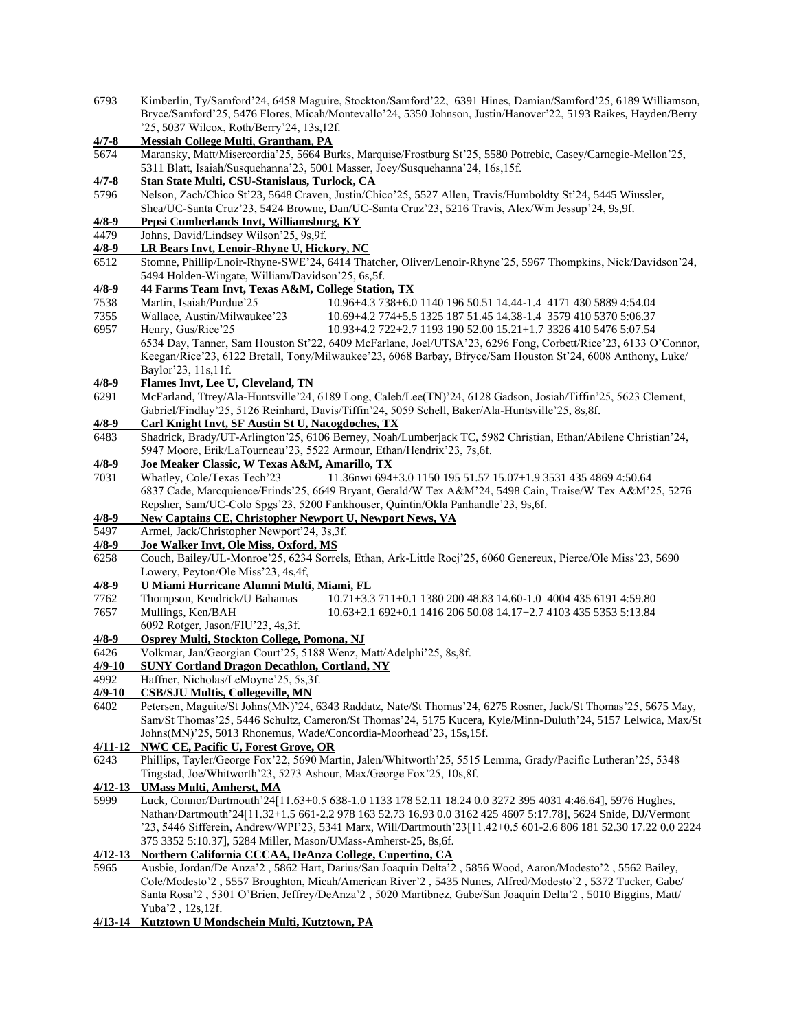| 6793        | Kimberlin, Ty/Samford'24, 6458 Maguire, Stockton/Samford'22, 6391 Hines, Damian/Samford'25, 6189 Williamson,<br>Bryce/Samford'25, 5476 Flores, Micah/Montevallo'24, 5350 Johnson, Justin/Hanover'22, 5193 Raikes, Hayden/Berry |
|-------------|--------------------------------------------------------------------------------------------------------------------------------------------------------------------------------------------------------------------------------|
|             | '25, 5037 Wilcox, Roth/Berry'24, 13s, 12f.                                                                                                                                                                                     |
| $4/7 - 8$   | Messiah College Multi, Grantham, PA                                                                                                                                                                                            |
| 5674        | Maransky, Matt/Misercordia'25, 5664 Burks, Marquise/Frostburg St'25, 5580 Potrebic, Casey/Carnegie-Mellon'25,                                                                                                                  |
|             | 5311 Blatt, Isaiah/Susquehanna'23, 5001 Masser, Joey/Susquehanna'24, 16s,15f.                                                                                                                                                  |
| $4/7 - 8$   | Stan State Multi, CSU-Stanislaus, Turlock, CA                                                                                                                                                                                  |
| 5796        | Nelson, Zach/Chico St'23, 5648 Craven, Justin/Chico'25, 5527 Allen, Travis/Humboldty St'24, 5445 Wiussler,<br>Shea/UC-Santa Cruz'23, 5424 Browne, Dan/UC-Santa Cruz'23, 5216 Travis, Alex/Wm Jessup'24, 9s,9f.                 |
| $4/8 - 9$   | Pepsi Cumberlands Invt, Williamsburg, KY                                                                                                                                                                                       |
| 4479        | Johns, David/Lindsey Wilson'25, 9s,9f.                                                                                                                                                                                         |
| $4/8 - 9$   | LR Bears Invt, Lenoir-Rhyne U, Hickory, NC                                                                                                                                                                                     |
| 6512        | Stomne, Phillip/Lnoir-Rhyne-SWE'24, 6414 Thatcher, Oliver/Lenoir-Rhyne'25, 5967 Thompkins, Nick/Davidson'24,                                                                                                                   |
|             | 5494 Holden-Wingate, William/Davidson'25, 6s,5f.                                                                                                                                                                               |
| $4/8 - 9$   | 44 Farms Team Invt, Texas A&M, College Station, TX                                                                                                                                                                             |
| 7538        | Martin, Isaiah/Purdue'25<br>10.96+4.3 738+6.0 1140 196 50.51 14.44-1.4 4171 430 5889 4:54.04                                                                                                                                   |
| 7355        | Wallace, Austin/Milwaukee'23<br>10.69+4.2 774+5.5 1325 187 51.45 14.38-1.4 3579 410 5370 5:06.37                                                                                                                               |
| 6957        | Henry, Gus/Rice'25<br>10.93+4.2 722+2.7 1193 190 52.00 15.21+1.7 3326 410 5476 5:07.54                                                                                                                                         |
|             | 6534 Day, Tanner, Sam Houston St'22, 6409 McFarlane, Joel/UTSA'23, 6296 Fong, Corbett/Rice'23, 6133 O'Connor,                                                                                                                  |
|             | Keegan/Rice'23, 6122 Bretall, Tony/Milwaukee'23, 6068 Barbay, Bfryce/Sam Houston St'24, 6008 Anthony, Luke/                                                                                                                    |
|             | Baylor'23, 11s, 11f.                                                                                                                                                                                                           |
|             |                                                                                                                                                                                                                                |
| $4/8 - 9$   | Flames Invt, Lee U, Cleveland, TN                                                                                                                                                                                              |
| 6291        | McFarland, Ttrey/Ala-Huntsville'24, 6189 Long, Caleb/Lee(TN)'24, 6128 Gadson, Josiah/Tiffin'25, 5623 Clement,                                                                                                                  |
|             | Gabriel/Findlay'25, 5126 Reinhard, Davis/Tiffin'24, 5059 Schell, Baker/Ala-Huntsville'25, 8s,8f.                                                                                                                               |
| $4/8 - 9$   | <b>Carl Knight Invt, SF Austin St U, Nacogdoches, TX</b>                                                                                                                                                                       |
| 6483        | Shadrick, Brady/UT-Arlington'25, 6106 Berney, Noah/Lumberjack TC, 5982 Christian, Ethan/Abilene Christian'24,                                                                                                                  |
|             | 5947 Moore, Erik/LaTourneau'23, 5522 Armour, Ethan/Hendrix'23, 7s, 6f.                                                                                                                                                         |
| $4/8 - 9$   | Joe Meaker Classic, W Texas A&M, Amarillo, TX                                                                                                                                                                                  |
| 7031        | 11.36nwi 694+3.0 1150 195 51.57 15.07+1.9 3531 435 4869 4:50.64<br>Whatley, Cole/Texas Tech'23                                                                                                                                 |
|             | 6837 Cade, Marcquience/Frinds'25, 6649 Bryant, Gerald/W Tex A&M'24, 5498 Cain, Traise/W Tex A&M'25, 5276                                                                                                                       |
|             | Repsher, Sam/UC-Colo Spgs'23, 5200 Fankhouser, Quintin/Okla Panhandle'23, 9s,6f.                                                                                                                                               |
| $4/8 - 9$   | <b>New Captains CE, Christopher Newport U, Newport News, VA</b>                                                                                                                                                                |
|             |                                                                                                                                                                                                                                |
| 5497        | Armel, Jack/Christopher Newport'24, 3s,3f.                                                                                                                                                                                     |
| $4/8 - 9$   | Joe Walker Invt, Ole Miss, Oxford, MS                                                                                                                                                                                          |
| 6258        | Couch, Bailey/UL-Monroe'25, 6234 Sorrels, Ethan, Ark-Little Rocj'25, 6060 Genereux, Pierce/Ole Miss'23, 5690                                                                                                                   |
|             | Lowery, Peyton/Ole Miss'23, 4s,4f,                                                                                                                                                                                             |
| $4/8 - 9$   | U Miami Hurricane Alumni Multi, Miami, FL                                                                                                                                                                                      |
| 7762        | Thompson, Kendrick/U Bahamas<br>10.71+3.3 711+0.1 1380 200 48.83 14.60-1.0 4004 435 6191 4:59.80                                                                                                                               |
| 7657        | Mullings, Ken/BAH<br>10.63+2.1 692+0.1 1416 206 50.08 14.17+2.7 4103 435 5353 5:13.84                                                                                                                                          |
|             | 6092 Rotger, Jason/FIU'23, 4s,3f.                                                                                                                                                                                              |
| $4/8 - 9$   | Osprey Multi, Stockton College, Pomona, NJ                                                                                                                                                                                     |
| 6426        | Volkmar, Jan/Georgian Court'25, 5188 Wenz, Matt/Adelphi'25, 8s, 8f.                                                                                                                                                            |
| $4/9 - 10$  | <b>SUNY Cortland Dragon Decathlon, Cortland, NY</b>                                                                                                                                                                            |
| 4992        | Haffner, Nicholas/LeMoyne'25, 5s,3f.                                                                                                                                                                                           |
| $4/9 - 10$  | <b>CSB/SJU Multis, Collegeville, MN</b>                                                                                                                                                                                        |
| 6402        | Petersen, Maguite/St Johns(MN)'24, 6343 Raddatz, Nate/St Thomas'24, 6275 Rosner, Jack/St Thomas'25, 5675 May,                                                                                                                  |
|             | Sam/St Thomas'25, 5446 Schultz, Cameron/St Thomas'24, 5175 Kucera, Kyle/Minn-Duluth'24, 5157 Lelwica, Max/St                                                                                                                   |
|             | Johns(MN)'25, 5013 Rhonemus, Wade/Concordia-Moorhead'23, 15s, 15f.                                                                                                                                                             |
| $4/11-12$   | <b>NWC CE, Pacific U, Forest Grove, OR</b>                                                                                                                                                                                     |
| 6243        | Phillips, Tayler/George Fox'22, 5690 Martin, Jalen/Whitworth'25, 5515 Lemma, Grady/Pacific Lutheran'25, 5348                                                                                                                   |
|             | Tingstad, Joe/Whitworth'23, 5273 Ashour, Max/George Fox'25, 10s,8f.                                                                                                                                                            |
| $4/12 - 13$ | <b>UMass Multi, Amherst, MA</b>                                                                                                                                                                                                |
| 5999        | Luck, Connor/Dartmouth'24[11.63+0.5 638-1.0 1133 178 52.11 18.24 0.0 3272 395 4031 4:46.64], 5976 Hughes,                                                                                                                      |
|             | Nathan/Dartmouth'24[11.32+1.5 661-2.2 978 163 52.73 16.93 0.0 3162 425 4607 5:17.78], 5624 Snide, DJ/Vermont                                                                                                                   |
|             | '23, 5446 Sifferein, Andrew/WPI'23, 5341 Marx, Will/Dartmouth'23[11.42+0.5 601-2.6 806 181 52.30 17.22 0.0 2224                                                                                                                |
|             | 375 3352 5:10.37], 5284 Miller, Mason/UMass-Amherst-25, 8s, 6f.                                                                                                                                                                |
| $4/12 - 13$ | Northern California CCCAA, DeAnza College, Cupertino, CA                                                                                                                                                                       |
| 5965        | Ausbie, Jordan/De Anza'2, 5862 Hart, Darius/San Joaquin Delta'2, 5856 Wood, Aaron/Modesto'2, 5562 Bailey,                                                                                                                      |
|             | Cole/Modesto'2, 5557 Broughton, Micah/American River'2, 5435 Nunes, Alfred/Modesto'2, 5372 Tucker, Gabe/                                                                                                                       |
|             | Santa Rosa'2, 5301 O'Brien, Jeffrey/DeAnza'2, 5020 Martibnez, Gabe/San Joaquin Delta'2, 5010 Biggins, Matt/                                                                                                                    |

**4/13-14 Kutztown U Mondschein Multi, Kutztown, PA**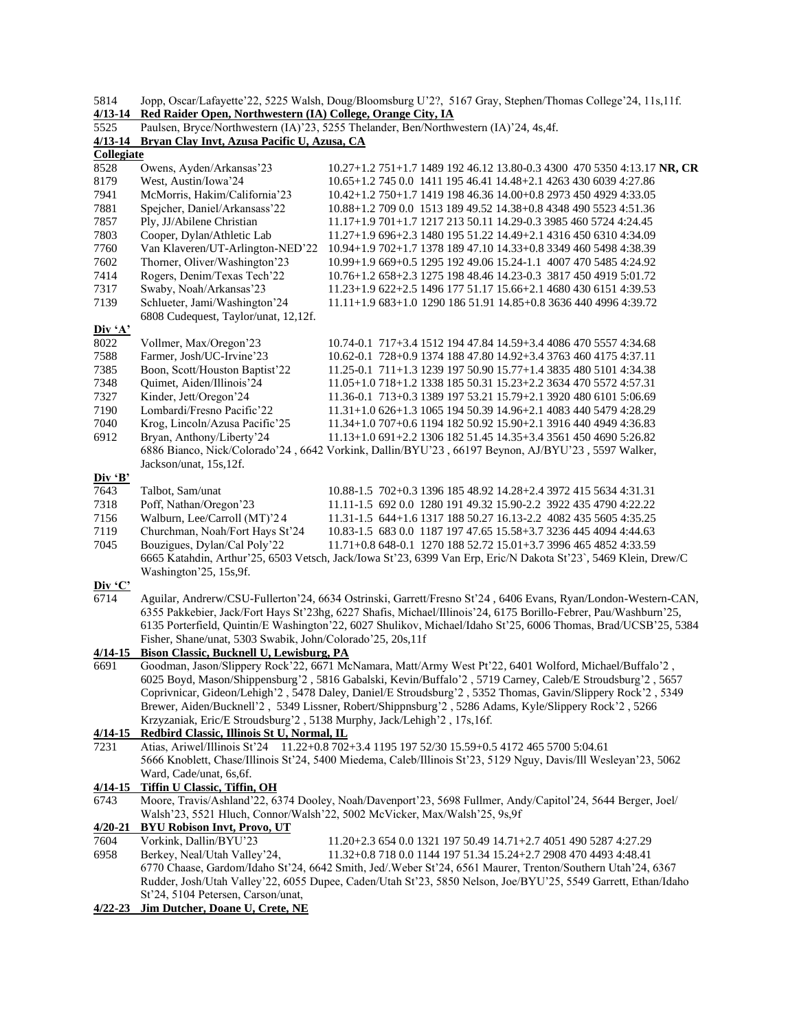| 5814 | Jopp, Oscar/Lafayette'22, 5225 Walsh, Doug/Bloomsburg U'2?, 5167 Gray, Stephen/Thomas College'24, 11s,11f. |
|------|------------------------------------------------------------------------------------------------------------|
|      | 4/13-14 Red Raider Open, Northwestern (IA) College, Orange City, IA                                        |

5525 Paulsen, Bryce/Northwestern (IA)'23, 5255 Thelander, Ben/Northwestern (IA)'24, 4s,4f.

#### **4/13-14 Bryan Clay Invt, Azusa Pacific U, Azusa, CA**

| <b>Collegiate</b> |                                                                        |                                                                                                                 |  |
|-------------------|------------------------------------------------------------------------|-----------------------------------------------------------------------------------------------------------------|--|
| 8528              | Owens, Ayden/Arkansas'23                                               | 10.27+1.2 751+1.7 1489 192 46.12 13.80-0.3 4300 470 5350 4:13.17 NR, CR                                         |  |
| 8179              | West, Austin/Iowa'24                                                   | 10.65+1.2 745 0.0 1411 195 46.41 14.48+2.1 4263 430 6039 4:27.86                                                |  |
| 7941              | McMorris, Hakim/California'23                                          | 10.42+1.2 750+1.7 1419 198 46.36 14.00+0.8 2973 450 4929 4:33.05                                                |  |
| 7881              | Spejcher, Daniel/Arkansass'22                                          | 10.88+1.2 709 0.0 1513 189 49.52 14.38+0.8 4348 490 5523 4:51.36                                                |  |
| 7857              | Ply, JJ/Abilene Christian                                              | 11.17+1.9 701+1.7 1217 213 50.11 14.29-0.3 3985 460 5724 4:24.45                                                |  |
| 7803              | Cooper, Dylan/Athletic Lab                                             | 11.27+1.9 696+2.3 1480 195 51.22 14.49+2.1 4316 450 6310 4:34.09                                                |  |
| 7760              | Van Klaveren/UT-Arlington-NED'22                                       | 10.94+1.9 702+1.7 1378 189 47.10 14.33+0.8 3349 460 5498 4:38.39                                                |  |
| 7602              | Thorner, Oliver/Washington'23                                          | 10.99+1.9 669+0.5 1295 192 49.06 15.24-1.1 4007 470 5485 4:24.92                                                |  |
| 7414              | Rogers, Denim/Texas Tech'22                                            | 10.76+1.2 658+2.3 1275 198 48.46 14.23-0.3 3817 450 4919 5:01.72                                                |  |
| 7317              | Swaby, Noah/Arkansas'23                                                | 11.23+1.9 622+2.5 1496 177 51.17 15.66+2.1 4680 430 6151 4:39.53                                                |  |
| 7139              | Schlueter, Jami/Washington'24                                          | 11.11+1.9 683+1.0 1290 186 51.91 14.85+0.8 3636 440 4996 4:39.72                                                |  |
|                   | 6808 Cudequest, Taylor/unat, 12,12f.                                   |                                                                                                                 |  |
| Div 'A'           |                                                                        |                                                                                                                 |  |
| 8022              | Vollmer, Max/Oregon'23                                                 | 10.74-0.1 717+3.4 1512 194 47.84 14.59+3.4 4086 470 5557 4:34.68                                                |  |
| 7588              | Farmer, Josh/UC-Irvine'23                                              | 10.62-0.1 728+0.9 1374 188 47.80 14.92+3.4 3763 460 4175 4:37.11                                                |  |
| 7385              | Boon, Scott/Houston Baptist'22                                         | 11.25-0.1 711+1.3 1239 197 50.90 15.77+1.4 3835 480 5101 4:34.38                                                |  |
| 7348              | Quimet, Aiden/Illinois'24                                              | 11.05+1.0 718+1.2 1338 185 50.31 15.23+2.2 3634 470 5572 4:57.31                                                |  |
| 7327              | Kinder, Jett/Oregon'24                                                 | 11.36-0.1 713+0.3 1389 197 53.21 15.79+2.1 3920 480 6101 5:06.69                                                |  |
| 7190              | Lombardi/Fresno Pacific'22                                             | 11.31+1.0 626+1.3 1065 194 50.39 14.96+2.1 4083 440 5479 4:28.29                                                |  |
| 7040              | Krog, Lincoln/Azusa Pacific'25                                         | 11.34+1.0 707+0.6 1194 182 50.92 15.90+2.1 3916 440 4949 4:36.83                                                |  |
| 6912              | Bryan, Anthony/Liberty'24                                              | 11.13+1.0 691+2.2 1306 182 51.45 14.35+3.4 3561 450 4690 5:26.82                                                |  |
|                   |                                                                        | 6886 Bianco, Nick/Colorado'24, 6642 Vorkink, Dallin/BYU'23, 66197 Beynon, AJ/BYU'23, 5597 Walker,               |  |
|                   | Jackson/unat, 15s, 12f.                                                |                                                                                                                 |  |
| Div 'B'           |                                                                        |                                                                                                                 |  |
| 7643              | Talbot, Sam/unat                                                       | 10.88-1.5 702+0.3 1396 185 48.92 14.28+2.4 3972 415 5634 4:31.31                                                |  |
| 7318              | Poff, Nathan/Oregon'23                                                 | 11.11-1.5 692 0.0 1280 191 49.32 15.90-2.2 3922 435 4790 4:22.22                                                |  |
| 7156              | Walburn, Lee/Carroll (MT)'24                                           | 11.31-1.5 644+1.6 1317 188 50.27 16.13-2.2 4082 435 5605 4:35.25                                                |  |
| 7119              | Churchman, Noah/Fort Hays St'24                                        | 10.83-1.5 683 0.0 1187 197 47.65 15.58+3.7 3236 445 4094 4:44.63                                                |  |
| 7045              | Bouzigues, Dylan/Cal Poly'22                                           | 11.71+0.8 648-0.1 1270 188 52.72 15.01+3.7 3996 465 4852 4:33.59                                                |  |
|                   |                                                                        | 6665 Katahdin, Arthur'25, 6503 Vetsch, Jack/Iowa St'23, 6399 Van Erp, Eric/N Dakota St'23`, 5469 Klein, Drew/C  |  |
|                   | Washington'25, 15s,9f.                                                 |                                                                                                                 |  |
| Div 'C'           |                                                                        |                                                                                                                 |  |
| 6714              |                                                                        | Aguilar, Andrerw/CSU-Fullerton'24, 6634 Ostrinski, Garrett/Fresno St'24, 6406 Evans, Ryan/London-Western-CAN,   |  |
|                   |                                                                        | 6355 Pakkebier, Jack/Fort Hays St'23hg, 6227 Shafis, Michael/Illinois'24, 6175 Borillo-Febrer, Pau/Washburn'25, |  |
|                   |                                                                        | 6135 Porterfield, Quintin/E Washington'22, 6027 Shulikov, Michael/Idaho St'25, 6006 Thomas, Brad/UCSB'25, 5384  |  |
|                   | Fisher, Shane/unat, 5303 Swabik, John/Colorado'25, 20s, 11f            |                                                                                                                 |  |
| 4/14-15           | Bison Classic, Bucknell U, Lewisburg, PA                               |                                                                                                                 |  |
| 6691              |                                                                        | Goodman, Jason/Slippery Rock'22, 6671 McNamara, Matt/Army West Pt'22, 6401 Wolford, Michael/Buffalo'2,          |  |
|                   |                                                                        | 6025 Boyd, Mason/Shippensburg'2, 5816 Gabalski, Kevin/Buffalo'2, 5719 Carney, Caleb/E Stroudsburg'2, 5657       |  |
|                   |                                                                        | Coprivnicar, Gideon/Lehigh'2, 5478 Daley, Daniel/E Stroudsburg'2, 5352 Thomas, Gavin/Slippery Rock'2, 5349      |  |
|                   |                                                                        | Brewer, Aiden/Bucknell'2, 5349 Lissner, Robert/Shippnsburg'2, 5286 Adams, Kyle/Slippery Rock'2, 5266            |  |
|                   | Krzyzaniak, Eric/E Stroudsburg'2, 5138 Murphy, Jack/Lehigh'2, 17s,16f. |                                                                                                                 |  |
|                   | 4/14-15 Redbird Classic, Illinois St U, Normal, IL                     |                                                                                                                 |  |
| 7231              |                                                                        | Atias, Ariwel/Illinois St'24 11.22+0.8 702+3.4 1195 197 52/30 15.59+0.5 4172 465 5700 5:04.61                   |  |
|                   |                                                                        | 5666 Knoblett, Chase/Illinois St'24, 5400 Miedema, Caleb/Illinois St'23, 5129 Nguy, Davis/Ill Wesleyan'23, 5062 |  |
|                   | Ward, Cade/unat, 6s, 6f.                                               |                                                                                                                 |  |
|                   | 4/14-15 Tiffin U Classic, Tiffin, OH                                   |                                                                                                                 |  |
| 6743              |                                                                        | Moore, Travis/Ashland'22, 6374 Dooley, Noah/Davenport'23, 5698 Fullmer, Andy/Capitol'24, 5644 Berger, Joel/     |  |
|                   |                                                                        | Walsh'23, 5521 Hluch, Connor/Walsh'22, 5002 McVicker, Max/Walsh'25, 9s,9f                                       |  |
| $4/20 - 21$       | <b>BYU Robison Invt, Provo, UT</b>                                     |                                                                                                                 |  |
| 7604              | Vorkink, Dallin/BYU'23                                                 | 11.20+2.3 654 0.0 1321 197 50.49 14.71+2.7 4051 490 5287 4:27.29                                                |  |
| 6958              | Berkey, Neal/Utah Valley'24,                                           | 11.32+0.8 718 0.0 1144 197 51.34 15.24+2.7 2908 470 4493 4:48.41                                                |  |
|                   |                                                                        | 6770 Chaase, Gardom/Idaho St'24, 6642 Smith, Jed/.Weber St'24, 6561 Maurer, Trenton/Southern Utah'24, 6367      |  |
|                   |                                                                        | Rudder, Josh/Utah Valley'22, 6055 Dupee, Caden/Utah St'23, 5850 Nelson, Joe/BYU'25, 5549 Garrett, Ethan/Idaho   |  |
|                   | St'24, 5104 Petersen, Carson/unat,                                     |                                                                                                                 |  |
| 4/22-23           | Jim Dutcher, Doane U, Crete, NE                                        |                                                                                                                 |  |
|                   |                                                                        |                                                                                                                 |  |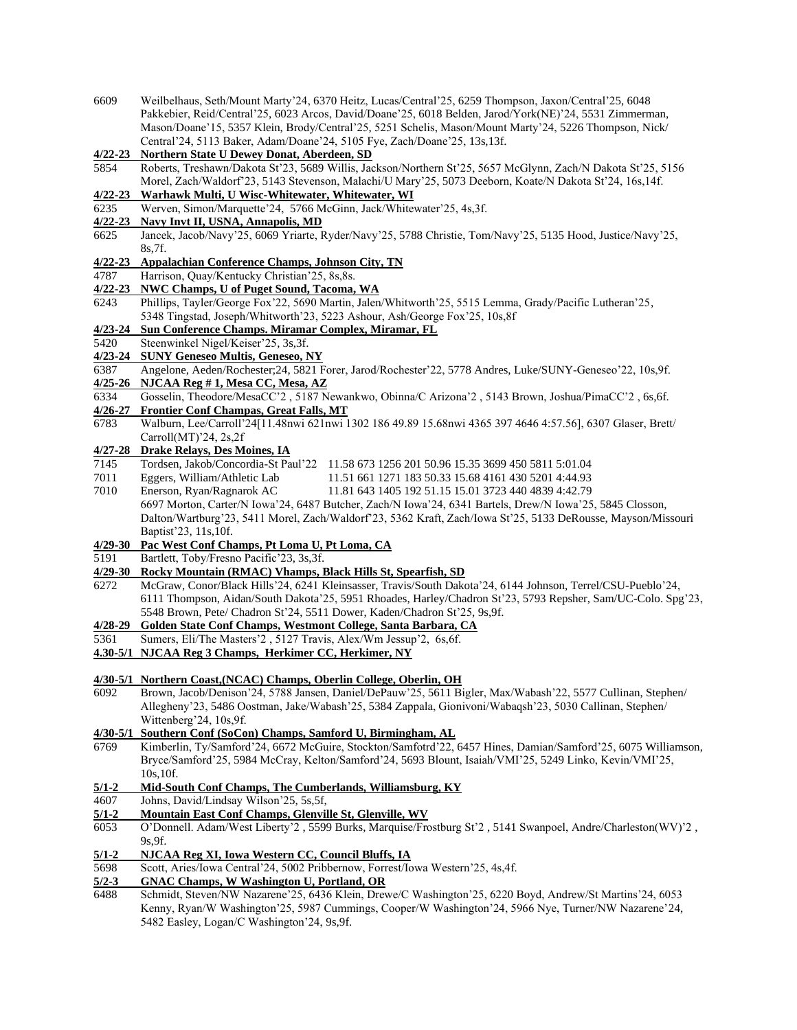- 6609 Weilbelhaus, Seth/Mount Marty'24, 6370 Heitz, Lucas/Central'25, 6259 Thompson, Jaxon/Central'25, 6048 Pakkebier, Reid/Central'25, 6023 Arcos, David/Doane'25, 6018 Belden, Jarod/York(NE)'24, 5531 Zimmerman, Mason/Doane'15, 5357 Klein, Brody/Central'25, 5251 Schelis, Mason/Mount Marty'24, 5226 Thompson, Nick/ Central'24, 5113 Baker, Adam/Doane'24, 5105 Fye, Zach/Doane'25, 13s,13f.
- **4/22-23 Northern State U Dewey Donat, Aberdeen, SD**
- 5854 Roberts, Treshawn/Dakota St'23, 5689 Willis, Jackson/Northern St'25, 5657 McGlynn, Zach/N Dakota St'25, 5156 Morel, Zach/Waldorf'23, 5143 Stevenson, Malachi/U Mary'25, 5073 Deeborn, Koate/N Dakota St'24, 16s,14f.
- **4/22-23 Warhawk Multi, U Wisc-Whitewater, Whitewater, WI**
- 6235 Werven, Simon/Marquette'24, 5766 McGinn, Jack/Whitewater'25, 4s,3f.
- **4/22-23 Navy Invt II, USNA, Annapolis, MD**
- 6625 Jancek, Jacob/Navy'25, 6069 Yriarte, Ryder/Navy'25, 5788 Christie, Tom/Navy'25, 5135 Hood, Justice/Navy'25, 8s,7f.

#### **4/22-23 Appalachian Conference Champs, Johnson City, TN**

- 4787 Harrison, Quay/Kentucky Christian'25, 8s,8s.
- **4/22-23 NWC Champs, U of Puget Sound, Tacoma, WA**
- 6243 Phillips, Tayler/George Fox'22, 5690 Martin, Jalen/Whitworth'25, 5515 Lemma, Grady/Pacific Lutheran'25, 5348 Tingstad, Joseph/Whitworth'23, 5223 Ashour, Ash/George Fox'25, 10s,8f

#### **4/23-24 Sun Conference Champs. Miramar Complex, Miramar, FL**

- 5420 Steenwinkel Nigel/Keiser'25, 3s,3f.
- **4/23-24 SUNY Geneseo Multis, Geneseo, NY**
- 6387 Angelone, Aeden/Rochester;24, 5821 Forer, Jarod/Rochester'22, 5778 Andres, Luke/SUNY-Geneseo'22, 10s,9f.
- **4/25-26 NJCAA Reg # 1, Mesa CC, Mesa, AZ**
- 6334 Gosselin, Theodore/MesaCC'2 , 5187 Newankwo, Obinna/C Arizona'2 , 5143 Brown, Joshua/PimaCC'2 , 6s,6f.
- **4/26-27 Frontier Conf Champas, Great Falls, MT** 6783 Walburn, Lee/Carroll'24[11.48nwi 621nwi 1302 186 49.89 15.68nwi 4365 397 4646 4:57.56], 6307 Glaser, Brett/ Carroll(MT)'24, 2s,2f

#### **4/27-28 Drake Relays, Des Moines, IA**

- 7145 Tordsen, Jakob/Concordia-St Paul'22 11.58 673 1256 201 50.96 15.35 3699 450 5811 5:01.04
- 7011 Eggers, William/Athletic Lab 11.51 661 1271 183 50.33 15.68 4161 430 5201 4:44.93
- 7010 Enerson, Ryan/Ragnarok AC 11.81 643 1405 192 51.15 15.01 3723 440 4839 4:42.79

6697 Morton, Carter/N Iowa'24, 6487 Butcher, Zach/N Iowa'24, 6341 Bartels, Drew/N Iowa'25, 5845 Closson, Dalton/Wartburg'23, 5411 Morel, Zach/Waldorf'23, 5362 Kraft, Zach/Iowa St'25, 5133 DeRousse, Mayson/Missouri Baptist'23, 11s,10f.

#### **4/29-30 Pac West Conf Champs, Pt Loma U, Pt Loma, CA**

- 5191 Bartlett, Toby/Fresno Pacific'23, 3s,3f.
- **4/29-30 Rocky Mountain (RMAC) Vhamps, Black Hills St, Spearfish, SD**
- 6272 McGraw, Conor/Black Hills'24, 6241 Kleinsasser, Travis/South Dakota'24, 6144 Johnson, Terrel/CSU-Pueblo'24, 6111 Thompson, Aidan/South Dakota'25, 5951 Rhoades, Harley/Chadron St'23, 5793 Repsher, Sam/UC-Colo. Spg'23, 5548 Brown, Pete/ Chadron St'24, 5511 Dower, Kaden/Chadron St'25, 9s,9f.
- **4/28-29 Golden State Conf Champs, Westmont College, Santa Barbara, CA**
- 5361 Sumers, Eli/The Masters'2 , 5127 Travis, Alex/Wm Jessup'2, 6s,6f.
- **4.30-5/1 NJCAA Reg 3 Champs, Herkimer CC, Herkimer, NY**

#### **4/30-5/1 Northern Coast,(NCAC) Champs, Oberlin College, Oberlin, OH**

6092 Brown, Jacob/Denison'24, 5788 Jansen, Daniel/DePauw'25, 5611 Bigler, Max/Wabash'22, 5577 Cullinan, Stephen/ Allegheny'23, 5486 Oostman, Jake/Wabash'25, 5384 Zappala, Gionivoni/Wabaqsh'23, 5030 Callinan, Stephen/ Wittenberg'24, 10s,9f.

#### **4/30-5/1 Southern Conf (SoCon) Champs, Samford U, Birmingham, AL**

- 6769 Kimberlin, Ty/Samford'24, 6672 McGuire, Stockton/Samfotrd'22, 6457 Hines, Damian/Samford'25, 6075 Williamson, Bryce/Samford'25, 5984 McCray, Kelton/Samford'24, 5693 Blount, Isaiah/VMI'25, 5249 Linko, Kevin/VMI'25, 10s,10f.
- **5/1-2 Mid-South Conf Champs, The Cumberlands, Williamsburg, KY**
- 4607 Johns, David/Lindsay Wilson'25, 5s,5f,
- **5/1-2 Mountain East Conf Champs, Glenville St, Glenville, WV**
- 6053 O'Donnell. Adam/West Liberty'2 , 5599 Burks, Marquise/Frostburg St'2 , 5141 Swanpoel, Andre/Charleston(WV)'2 , 9s,9f.
- **5/1-2 NJCAA Reg XI, Iowa Western CC, Council Bluffs, IA**
- 5698 Scott, Aries/Iowa Central'24, 5002 Pribbernow, Forrest/Iowa Western'25, 4s,4f.

## **5/2-3 GNAC Champs, W Washington U, Portland, OR**

6488 Schmidt, Steven/NW Nazarene'25, 6436 Klein, Drewe/C Washington'25, 6220 Boyd, Andrew/St Martins'24, 6053 Kenny, Ryan/W Washington'25, 5987 Cummings, Cooper/W Washington'24, 5966 Nye, Turner/NW Nazarene'24, 5482 Easley, Logan/C Washington'24, 9s,9f.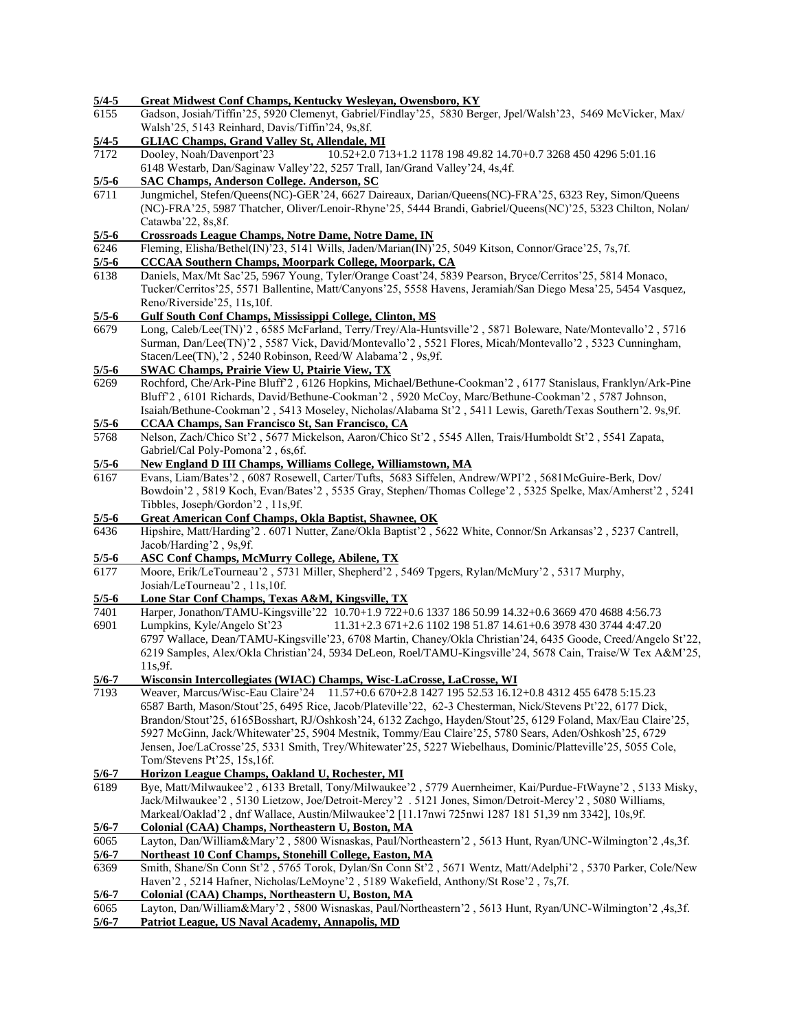| $5/4 - 5$        | Great Midwest Conf Champs, Kentucky Wesleyan, Owensboro, KY                                                   |
|------------------|---------------------------------------------------------------------------------------------------------------|
| 6155             | Gadson, Josiah/Tiffin'25, 5920 Clemenyt, Gabriel/Findlay'25, 5830 Berger, Jpel/Walsh'23, 5469 McVicker, Max/  |
|                  | Walsh'25, 5143 Reinhard, Davis/Tiffin'24, 9s,8f.                                                              |
| $\frac{5}{4}$ -5 | <b>GLIAC Champs, Grand Valley St, Allendale, MI</b>                                                           |
| 7172             | Dooley, Noah/Davenport'23<br>10.52+2.0 713+1.2 1178 198 49.82 14.70+0.7 3268 450 4296 5:01.16                 |
|                  | 6148 Westarb, Dan/Saginaw Valley'22, 5257 Trall, Ian/Grand Valley'24, 4s, 4f.                                 |
|                  |                                                                                                               |
| $5/5-6$          | <b>SAC Champs, Anderson College. Anderson, SC</b>                                                             |
| 6711             | Jungmichel, Stefen/Queens(NC)-GER'24, 6627 Daireaux, Darian/Queens(NC)-FRA'25, 6323 Rey, Simon/Queens         |
|                  | (NC)-FRA'25, 5987 Thatcher, Oliver/Lenoir-Rhyne'25, 5444 Brandi, Gabriel/Queens(NC)'25, 5323 Chilton, Nolan/  |
|                  | Catawba'22, 8s, 8f.                                                                                           |
| $5/5 - 6$        | <b>Crossroads League Champs, Notre Dame, Notre Dame, IN</b>                                                   |
| 6246             | Fleming, Elisha/Bethel(IN)'23, 5141 Wills, Jaden/Marian(IN)'25, 5049 Kitson, Connor/Grace'25, 7s,7f.          |
| $5/5 - 6$        | <b>CCCAA Southern Champs, Moorpark College, Moorpark, CA</b>                                                  |
| 6138             | Daniels, Max/Mt Sac'25, 5967 Young, Tyler/Orange Coast'24, 5839 Pearson, Bryce/Cerritos'25, 5814 Monaco,      |
|                  | Tucker/Cerritos'25, 5571 Ballentine, Matt/Canyons'25, 5558 Havens, Jeramiah/San Diego Mesa'25, 5454 Vasquez,  |
|                  | Reno/Riverside'25, 11s, 10f.                                                                                  |
| $5/5-6$          | <b>Gulf South Conf Champs, Mississippi College, Clinton, MS</b>                                               |
| 6679             | Long, Caleb/Lee(TN)'2, 6585 McFarland, Terry/Trey/Ala-Huntsville'2, 5871 Boleware, Nate/Montevallo'2, 5716    |
|                  | Surman, Dan/Lee(TN)'2, 5587 Vick, David/Montevallo'2, 5521 Flores, Micah/Montevallo'2, 5323 Cunningham,       |
|                  |                                                                                                               |
|                  | Stacen/Lee(TN), '2, 5240 Robinson, Reed/W Alabama'2, 9s, 9f.                                                  |
| $\frac{5}{5-6}$  | <b>SWAC Champs, Prairie View U, Ptairie View, TX</b>                                                          |
| 6269             | Rochford, Che/Ark-Pine Bluff'2, 6126 Hopkins, Michael/Bethune-Cookman'2, 6177 Stanislaus, Franklyn/Ark-Pine   |
|                  | Bluff'2, 6101 Richards, David/Bethune-Cookman'2, 5920 McCoy, Marc/Bethune-Cookman'2, 5787 Johnson,            |
|                  | Isaiah/Bethune-Cookman'2, 5413 Moseley, Nicholas/Alabama St'2, 5411 Lewis, Gareth/Texas Southern'2. 9s,9f.    |
| $5/5-6$          | <b>CCAA Champs, San Francisco St, San Francisco, CA</b>                                                       |
| 5768             | Nelson, Zach/Chico St'2, 5677 Mickelson, Aaron/Chico St'2, 5545 Allen, Trais/Humboldt St'2, 5541 Zapata,      |
|                  | Gabriel/Cal Poly-Pomona'2, 6s, 6f.                                                                            |
| $5/5-6$          | New England D III Champs, Williams College, Williamstown, MA                                                  |
| 6167             | Evans, Liam/Bates'2, 6087 Rosewell, Carter/Tufts, 5683 Siffelen, Andrew/WPI'2, 5681McGuire-Berk, Dov/         |
|                  | Bowdoin'2, 5819 Koch, Evan/Bates'2, 5535 Gray, Stephen/Thomas College'2, 5325 Spelke, Max/Amherst'2, 5241     |
|                  | Tibbles, Joseph/Gordon'2, 11s,9f.                                                                             |
| $5/5-6$          | Great American Conf Champs, Okla Baptist, Shawnee, OK                                                         |
| 6436             | Hipshire, Matt/Harding'2 . 6071 Nutter, Zane/Okla Baptist'2, 5622 White, Connor/Sn Arkansas'2, 5237 Cantrell, |
|                  |                                                                                                               |
|                  | Jacob/Harding'2, 9s,9f.                                                                                       |
| $5/5-6$          | <b>ASC Conf Champs, McMurry College, Abilene, TX</b>                                                          |
| 6177             | Moore, Erik/LeTourneau'2, 5731 Miller, Shepherd'2, 5469 Tpgers, Rylan/McMury'2, 5317 Murphy,                  |
|                  | Josiah/LeTourneau'2, 11s, 10f.                                                                                |
| $5/5-6$          | Lone Star Conf Champs, Texas A&M, Kingsville, TX                                                              |
| 7401             | Harper, Jonathon/TAMU-Kingsville'22 10.70+1.9 722+0.6 1337 186 50.99 14.32+0.6 3669 470 4688 4:56.73          |
| 6901             | Lumpkins, Kyle/Angelo St'23<br>11.31+2.3 671+2.6 1102 198 51.87 14.61+0.6 3978 430 3744 4:47.20               |
|                  | 6797 Wallace, Dean/TAMU-Kingsville'23, 6708 Martin, Chaney/Okla Christian'24, 6435 Goode, Creed/Angelo St'22, |
|                  | 6219 Samples, Alex/Okla Christian'24, 5934 DeLeon, Roel/TAMU-Kingsville'24, 5678 Cain, Traise/W Tex A&M'25,   |
|                  | 11s,9f.                                                                                                       |
| $5/6 - 7$        | Wisconsin Intercollegiates (WIAC) Champs, Wisc-LaCrosse, LaCrosse, WI                                         |
| 7193             | Weaver, Marcus/Wisc-Eau Claire'24 11.57+0.6 670+2.8 1427 195 52.53 16.12+0.8 4312 455 6478 5:15.23            |
|                  | 6587 Barth, Mason/Stout'25, 6495 Rice, Jacob/Plateville'22, 62-3 Chesterman, Nick/Stevens Pt'22, 6177 Dick,   |
|                  | Brandon/Stout'25, 6165Bosshart, RJ/Oshkosh'24, 6132 Zachgo, Hayden/Stout'25, 6129 Foland, Max/Eau Claire'25,  |
|                  |                                                                                                               |
|                  | 5927 McGinn, Jack/Whitewater'25, 5904 Mestnik, Tommy/Eau Claire'25, 5780 Sears, Aden/Oshkosh'25, 6729         |
|                  | Jensen, Joe/LaCrosse'25, 5331 Smith, Trey/Whitewater'25, 5227 Wiebelhaus, Dominic/Platteville'25, 5055 Cole,  |
|                  | Tom/Stevens Pt'25, 15s, 16f.                                                                                  |
| $\frac{5}{6}$ -7 | Horizon League Champs, Oakland U, Rochester, MI                                                               |
| 6189             | Bye, Matt/Milwaukee'2, 6133 Bretall, Tony/Milwaukee'2, 5779 Auernheimer, Kai/Purdue-FtWayne'2, 5133 Misky,    |
|                  | Jack/Milwaukee'2, 5130 Lietzow, Joe/Detroit-Mercy'2. 5121 Jones, Simon/Detroit-Mercy'2, 5080 Williams,        |
|                  | Markeal/Oaklad'2, dnf Wallace, Austin/Milwaukee'2 [11.17nwi 725nwi 1287 181 51,39 nm 3342], 10s,9f.           |
| $\frac{5}{6}$ -7 | Colonial (CAA) Champs, Northeastern U, Boston, MA                                                             |
| 6065             | Layton, Dan/William&Mary'2, 5800 Wisnaskas, Paul/Northeastern'2, 5613 Hunt, Ryan/UNC-Wilmington'2, 4s,3f.     |
| $5/6 - 7$        | Northeast 10 Conf Champs, Stonehill College, Easton, MA                                                       |
| 6369             | Smith, Shane/Sn Conn St'2, 5765 Torok, Dylan/Sn Conn St'2, 5671 Wentz, Matt/Adelphi'2, 5370 Parker, Cole/New  |
|                  |                                                                                                               |
|                  | Haven'2, 5214 Hafner, Nicholas/LeMoyne'2, 5189 Wakefield, Anthony/St Rose'2, 7s,7f.                           |
| $5/6 - 7$        | Colonial (CAA) Champs, Northeastern U, Boston, MA                                                             |
| 6065             | Layton, Dan/William&Mary'2, 5800 Wisnaskas, Paul/Northeastern'2, 5613 Hunt, Ryan/UNC-Wilmington'2, 4s,3f.     |
| $5/6 - 7$        | Patriot League, US Naval Academy, Annapolis, MD                                                               |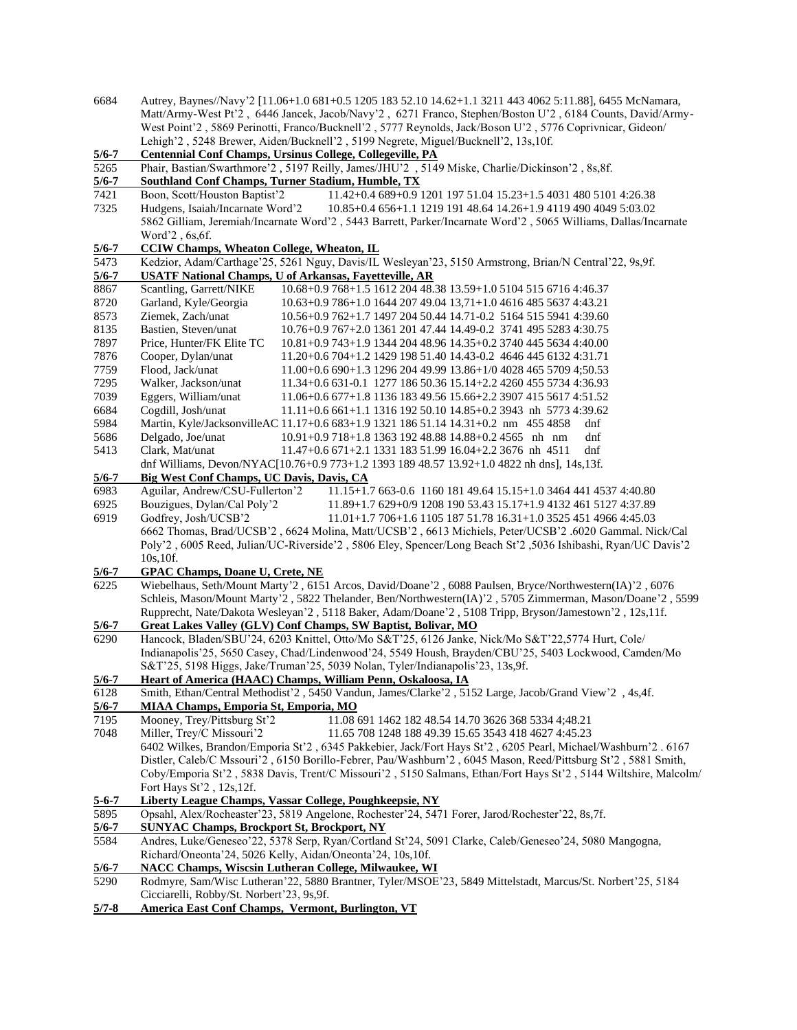| 6684              | Autrey, Baynes//Navy'2 [11.06+1.0 681+0.5 1205 183 52.10 14.62+1.1 3211 443 4062 5:11.88], 6455 McNamara,                                                                |  |
|-------------------|--------------------------------------------------------------------------------------------------------------------------------------------------------------------------|--|
|                   | Matt/Army-West Pt'2, 6446 Jancek, Jacob/Navy'2, 6271 Franco, Stephen/Boston U'2, 6184 Counts, David/Army-                                                                |  |
|                   | West Point'2, 5869 Perinotti, Franco/Bucknell'2, 5777 Reynolds, Jack/Boson U'2, 5776 Coprivnicar, Gideon/                                                                |  |
|                   | Lehigh'2, 5248 Brewer, Aiden/Bucknell'2, 5199 Negrete, Miguel/Bucknell'2, 13s,10f.                                                                                       |  |
| $\frac{5}{6}$ -7  | Centennial Conf Champs, Ursinus College, Collegeville, PA                                                                                                                |  |
| 5265              | Phair, Bastian/Swarthmore'2, 5197 Reilly, James/JHU'2, 5149 Miske, Charlie/Dickinson'2, 8s, 8f.                                                                          |  |
| $5/6 - 7$         | Southland Conf Champs, Turner Stadium, Humble, TX                                                                                                                        |  |
| 7421              | Boon, Scott/Houston Baptist'2<br>11.42+0.4 689+0.9 1201 197 51.04 15.23+1.5 4031 480 5101 4:26.38                                                                        |  |
| 7325              | Hudgens, Isaiah/Incarnate Word'2<br>10.85+0.4 656+1.1 1219 191 48.64 14.26+1.9 4119 490 4049 5:03.02                                                                     |  |
|                   | 5862 Gilliam, Jeremiah/Incarnate Word'2, 5443 Barrett, Parker/Incarnate Word'2, 5065 Williams, Dallas/Incarnate                                                          |  |
|                   | Word'2, 6s, 6f.                                                                                                                                                          |  |
| $\frac{5}{6}$ -7  | <b>CCIW Champs, Wheaton College, Wheaton, IL</b>                                                                                                                         |  |
| 5473              | Kedzior, Adam/Carthage'25, 5261 Nguy, Davis/IL Wesleyan'23, 5150 Armstrong, Brian/N Central'22, 9s,9f.                                                                   |  |
| $5/6 - 7$         | <b>USATF National Champs, U of Arkansas, Fayetteville, AR</b>                                                                                                            |  |
| 8867              | Scantling, Garrett/NIKE<br>10.68+0.9 768+1.5 1612 204 48.38 13.59+1.0 5104 515 6716 4:46.37                                                                              |  |
| 8720              | Garland, Kyle/Georgia<br>10.63+0.9 786+1.0 1644 207 49.04 13,71+1.0 4616 485 5637 4:43.21                                                                                |  |
| 8573              | Ziemek, Zach/unat<br>10.56+0.9 762+1.7 1497 204 50.44 14.71-0.2 5164 515 5941 4:39.60                                                                                    |  |
| 8135              | Bastien, Steven/unat<br>10.76+0.9 767+2.0 1361 201 47.44 14.49-0.2 3741 495 5283 4:30.75                                                                                 |  |
| 7897              | Price, Hunter/FK Elite TC<br>10.81+0.9 743+1.9 1344 204 48.96 14.35+0.2 3740 445 5634 4:40.00                                                                            |  |
| 7876              | Cooper, Dylan/unat<br>11.20+0.6 704+1.2 1429 198 51.40 14.43-0.2 4646 445 6132 4:31.71                                                                                   |  |
| 7759              | Flood, Jack/unat<br>11.00+0.6 690+1.3 1296 204 49.99 13.86+1/0 4028 465 5709 4;50.53                                                                                     |  |
| 7295              | Walker, Jackson/unat<br>11.34+0.6 631-0.1 1277 186 50.36 15.14+2.2 4260 455 5734 4:36.93                                                                                 |  |
| 7039              | Eggers, William/unat<br>11.06+0.6 677+1.8 1136 183 49.56 15.66+2.2 3907 415 5617 4:51.52                                                                                 |  |
| 6684              | Cogdill, Josh/unat<br>11.11+0.6 661+1.1 1316 192 50.10 14.85+0.2 3943 nh 5773 4:39.62                                                                                    |  |
| 5984              | Martin, Kyle/JacksonvilleAC 11.17+0.6 683+1.9 1321 186 51.14 14.31+0.2 nm 455 4858<br>dnf                                                                                |  |
| 5686              | Delgado, Joe/unat<br>10.91+0.9 718+1.8 1363 192 48.88 14.88+0.2 4565 nh nm<br>dnf                                                                                        |  |
| 5413              | Clark, Mat/unat<br>11.47+0.6 671+2.1 1331 183 51.99 16.04+2.2 3676 nh 4511<br>dnf                                                                                        |  |
|                   | dnf Williams, Devon/NYAC[10.76+0.9 773+1.2 1393 189 48.57 13.92+1.0 4822 nh dns], 14s,13f.                                                                               |  |
| $5/6 - 7$         | <b>Big West Conf Champs, UC Davis, Davis, CA</b>                                                                                                                         |  |
| 6983              | Aguilar, Andrew/CSU-Fullerton'2<br>11.15+1.7 663-0.6 1160 181 49.64 15.15+1.0 3464 441 4537 4:40.80                                                                      |  |
| 6925              | Bouzigues, Dylan/Cal Poly'2<br>11.89+1.7 629+0/9 1208 190 53.43 15.17+1.9 4132 461 5127 4:37.89                                                                          |  |
| 6919              | Godfrey, Josh/UCSB'2<br>11.01+1.7 706+1.6 1105 187 51.78 16.31+1.0 3525 451 4966 4:45.03                                                                                 |  |
|                   | 6662 Thomas, Brad/UCSB'2, 6624 Molina, Matt/UCSB'2, 6613 Michiels, Peter/UCSB'2.6020 Gammal. Nick/Cal                                                                    |  |
|                   | Poly'2, 6005 Reed, Julian/UC-Riverside'2, 5806 Eley, Spencer/Long Beach St'2, 5036 Ishibashi, Ryan/UC Davis'2                                                            |  |
|                   | 10s, 10f.                                                                                                                                                                |  |
| $5/6 - 7$         | <b>GPAC Champs, Doane U, Crete, NE</b>                                                                                                                                   |  |
| 6225              | Wiebelhaus, Seth/Mount Marty'2, 6151 Arcos, David/Doane'2, 6088 Paulsen, Bryce/Northwestern(IA)'2, 6076                                                                  |  |
|                   | Schleis, Mason/Mount Marty'2, 5822 Thelander, Ben/Northwestern(IA)'2, 5705 Zimmerman, Mason/Doane'2, 5599                                                                |  |
|                   | Rupprecht, Nate/Dakota Wesleyan'2, 5118 Baker, Adam/Doane'2, 5108 Tripp, Bryson/Jamestown'2, 12s,11f.                                                                    |  |
| $5/6 - 7$         | Great Lakes Valley (GLV) Conf Champs, SW Baptist, Bolivar, MO                                                                                                            |  |
| 6290              | Hancock, Bladen/SBU'24, 6203 Knittel, Otto/Mo S&T'25, 6126 Janke, Nick/Mo S&T'22,5774 Hurt, Cole/                                                                        |  |
|                   | Indianapolis'25, 5650 Casey, Chad/Lindenwood'24, 5549 Housh, Brayden/CBU'25, 5403 Lockwood, Camden/Mo                                                                    |  |
|                   | S&T'25, 5198 Higgs, Jake/Truman'25, 5039 Nolan, Tyler/Indianapolis'23, 13s,9f.                                                                                           |  |
| $5/6 - 7$         | Heart of America (HAAC) Champs, William Penn, Oskaloosa, IA<br>Smith, Ethan/Central Methodist'2, 5450 Vandun, James/Clarke'2, 5152 Large, Jacob/Grand View'2, 4s,4f.     |  |
| 6128              |                                                                                                                                                                          |  |
| $5/6 - 7$<br>7195 | MIAA Champs, Emporia St, Emporia, MO                                                                                                                                     |  |
| 7048              | Mooney, Trey/Pittsburg St'2<br>11.08 691 1462 182 48.54 14.70 3626 368 5334 4;48.21<br>Miller, Trey/C Missouri'2<br>11.65 708 1248 188 49.39 15.65 3543 418 4627 4:45.23 |  |
|                   | 6402 Wilkes, Brandon/Emporia St'2, 6345 Pakkebier, Jack/Fort Hays St'2, 6205 Pearl, Michael/Washburn'2. 6167                                                             |  |
|                   | Distler, Caleb/C Mssouri'2, 6150 Borillo-Febrer, Pau/Washburn'2, 6045 Mason, Reed/Pittsburg St'2, 5881 Smith,                                                            |  |
|                   | Coby/Emporia St'2, 5838 Davis, Trent/C Missouri'2, 5150 Salmans, Ethan/Fort Hays St'2, 5144 Wiltshire, Malcolm/                                                          |  |
|                   | Fort Hays St'2, 12s, 12f.                                                                                                                                                |  |
| $5 - 6 - 7$       | Liberty League Champs, Vassar College, Poughkeepsie, NY                                                                                                                  |  |
| 5895              | Opsahl, Alex/Rocheaster'23, 5819 Angelone, Rochester'24, 5471 Forer, Jarod/Rochester'22, 8s,7f.                                                                          |  |
| $5/6 - 7$         | <b>SUNYAC Champs, Brockport St, Brockport, NY</b>                                                                                                                        |  |
| 5584              | Andres, Luke/Geneseo'22, 5378 Serp, Ryan/Cortland St'24, 5091 Clarke, Caleb/Geneseo'24, 5080 Mangogna,                                                                   |  |
|                   | Richard/Oneonta'24, 5026 Kelly, Aidan/Oneonta'24, 10s, 10f.                                                                                                              |  |
| $5/6 - 7$         | <b>NACC Champs, Wiscsin Lutheran College, Milwaukee, WI</b>                                                                                                              |  |
| 5290              | Rodmyre, Sam/Wisc Lutheran'22, 5880 Brantner, Tyler/MSOE'23, 5849 Mittelstadt, Marcus/St. Norbert'25, 5184                                                               |  |
|                   | Cicciarelli, Robby/St. Norbert'23, 9s,9f.                                                                                                                                |  |
| 5/7.8             | America Fast Conf Champs Vermont Rurlington VT                                                                                                                           |  |

**5/7-8 America East Conf Champs, Vermont, Burlington, VT**